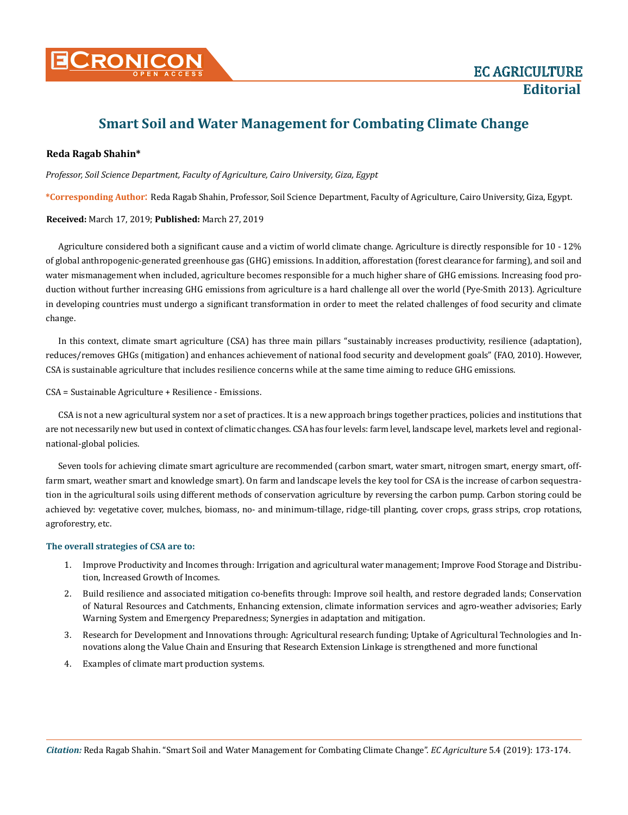

# **Smart Soil and Water Management for Combating Climate Change**

## **Reda Ragab Shahin\***

*Professor, Soil Science Department, Faculty of Agriculture, Cairo University, Giza, Egypt*

**\*Corresponding Author**: Reda Ragab Shahin, Professor, Soil Science Department, Faculty of Agriculture, Cairo University, Giza, Egypt.

### **Received:** March 17, 2019; **Published:** March 27, 2019

Agriculture considered both a significant cause and a victim of world climate change. Agriculture is directly responsible for 10 - 12% of global anthropogenic-generated greenhouse gas (GHG) emissions. In addition, afforestation (forest clearance for farming), and soil and water mismanagement when included, agriculture becomes responsible for a much higher share of GHG emissions. Increasing food production without further increasing GHG emissions from agriculture is a hard challenge all over the world (Pye-Smith 2013). Agriculture in developing countries must undergo a significant transformation in order to meet the related challenges of food security and climate change.

In this context, climate smart agriculture (CSA) has three main pillars "sustainably increases productivity, resilience (adaptation), reduces/removes GHGs (mitigation) and enhances achievement of national food security and development goals" (FAO, 2010). However, CSA is sustainable agriculture that includes resilience concerns while at the same time aiming to reduce GHG emissions.

CSA = Sustainable Agriculture + Resilience - Emissions.

CSA is not a new agricultural system nor a set of practices. It is a new approach brings together practices, policies and institutions that are not necessarily new but used in context of climatic changes. CSA has four levels: farm level, landscape level, markets level and regionalnational-global policies.

Seven tools for achieving climate smart agriculture are recommended (carbon smart, water smart, nitrogen smart, energy smart, offfarm smart, weather smart and knowledge smart). On farm and landscape levels the key tool for CSA is the increase of carbon sequestration in the agricultural soils using different methods of conservation agriculture by reversing the carbon pump. Carbon storing could be achieved by: vegetative cover, mulches, biomass, no- and minimum-tillage, ridge-till planting, cover crops, grass strips, crop rotations, agroforestry, etc.

### **The overall strategies of CSA are to:**

- 1. Improve Productivity and Incomes through: Irrigation and agricultural water management; Improve Food Storage and Distribution, Increased Growth of Incomes.
- 2. Build resilience and associated mitigation co-benefits through: Improve soil health, and restore degraded lands; Conservation of Natural Resources and Catchments, Enhancing extension, climate information services and agro-weather advisories; Early Warning System and Emergency Preparedness; Synergies in adaptation and mitigation.
- 3. Research for Development and Innovations through: Agricultural research funding; Uptake of Agricultural Technologies and Innovations along the Value Chain and Ensuring that Research Extension Linkage is strengthened and more functional
- 4. Examples of climate mart production systems.